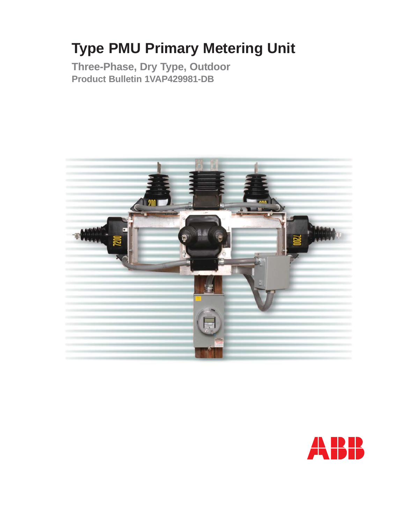# **Type PMU Primary Metering Unit**

**Three-Phase, Dry Type, Outdoor Product Bulletin 1VAP429981-DB**



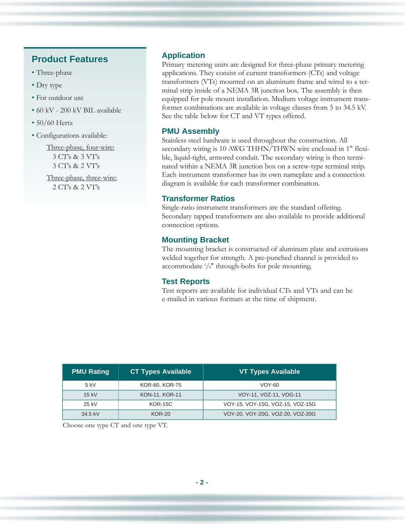### **Product Features**

- Three-phase
- Dry type
- For outdoor use
- 60 kV 200 kV BIL available
- 50/60 Hertz
- Configurations available:

Three-phase, four-wire: 3 CT's & 3 VT's 3 CT's & 2 VT's

Three-phase, three-wire: 2 CT's & 2 VT's

#### **Application**

Primary metering units are designed for three-phase primary metering applications. They consist of current transformers (CTs) and voltage transformers (VTs) mounted on an aluminum frame and wired to a terminal strip inside of a NEMA 3R junction box. The assembly is then equipped for pole mount installation. Medium voltage instrument transformer combinations are available in voltage classes from 5 to 34.5 kV. See the table below for CT and VT types offered.

#### **PMU Assembly**

Stainless steel hardware is used throughout the construction. All secondary wiring is 10 AWG THHN/THWN wire enclosed in 1" flexible, liquid-tight, armored conduit. The secondary wiring is then terminated within a NEMA 3R junction box on a screw-type terminal strip. Each instrument transformer has its own nameplate and a connection diagram is available for each transformer combination.

#### **Transformer Ratios**

Single-ratio instrument transformers are the standard offering. Secondary tapped transformers are also available to provide additional connection options.

#### **Mounting Bracket**

The mounting bracket is constructed of aluminum plate and extrusions welded together for strength. A pre-punched channel is provided to accommodate 5 /8" through-bolts for pole mounting.

#### **Test Reports**

Test reports are available for individual CTs and VTs and can be e-mailed in various formats at the time of shipment.

| <b>PMU Rating</b>       | <b>CT Types Available</b> | VT Types Available               |  |  |  |
|-------------------------|---------------------------|----------------------------------|--|--|--|
| 5 kV                    | KOR-60, KOR-75            | $VOY-60$                         |  |  |  |
| $15 \text{ kV}$         | KON-11, KOR-11            | VOY-11, VOZ-11, VOG-11           |  |  |  |
| <b>KOR-15C</b><br>25 kV |                           | VOY-15, VOY-15G, VOZ-15, VOZ-15G |  |  |  |
| 34.5 kV                 | <b>KOR-20</b>             | VOY-20, VOY-20G, VOZ-20, VOZ-20G |  |  |  |

Choose one type CT and one type VT.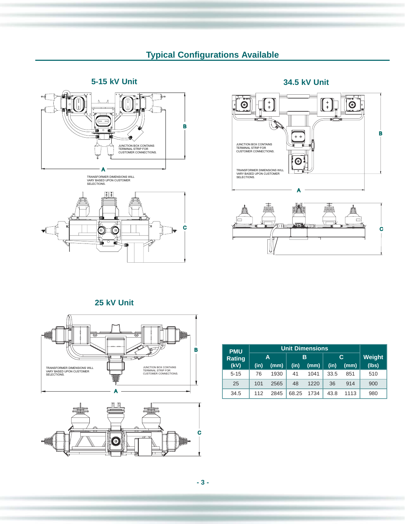## **Typical Configurations Available**

**5-15 kV Unit**





#### **34.5 kV Unit**





#### **25 kV Unit**





|  | <b>PMU</b><br><b>Rating</b> | Unit Dimensions |      |       |      |      |      |               |
|--|-----------------------------|-----------------|------|-------|------|------|------|---------------|
|  |                             | A               |      | в     |      | C    |      | <b>Weight</b> |
|  | (KV)                        | (in)            | (mm) | (in)  | (mm) | (in) | (mm) | (lbs)         |
|  | $5 - 15$                    | 76              | 1930 | 41    | 1041 | 33.5 | 851  | 510           |
|  | 25                          | 101             | 2565 | 48    | 1220 | 36   | 914  | 900           |
|  | 34.5                        | 112             | 2845 | 68.25 | 1734 | 43.8 | 1113 | 980           |